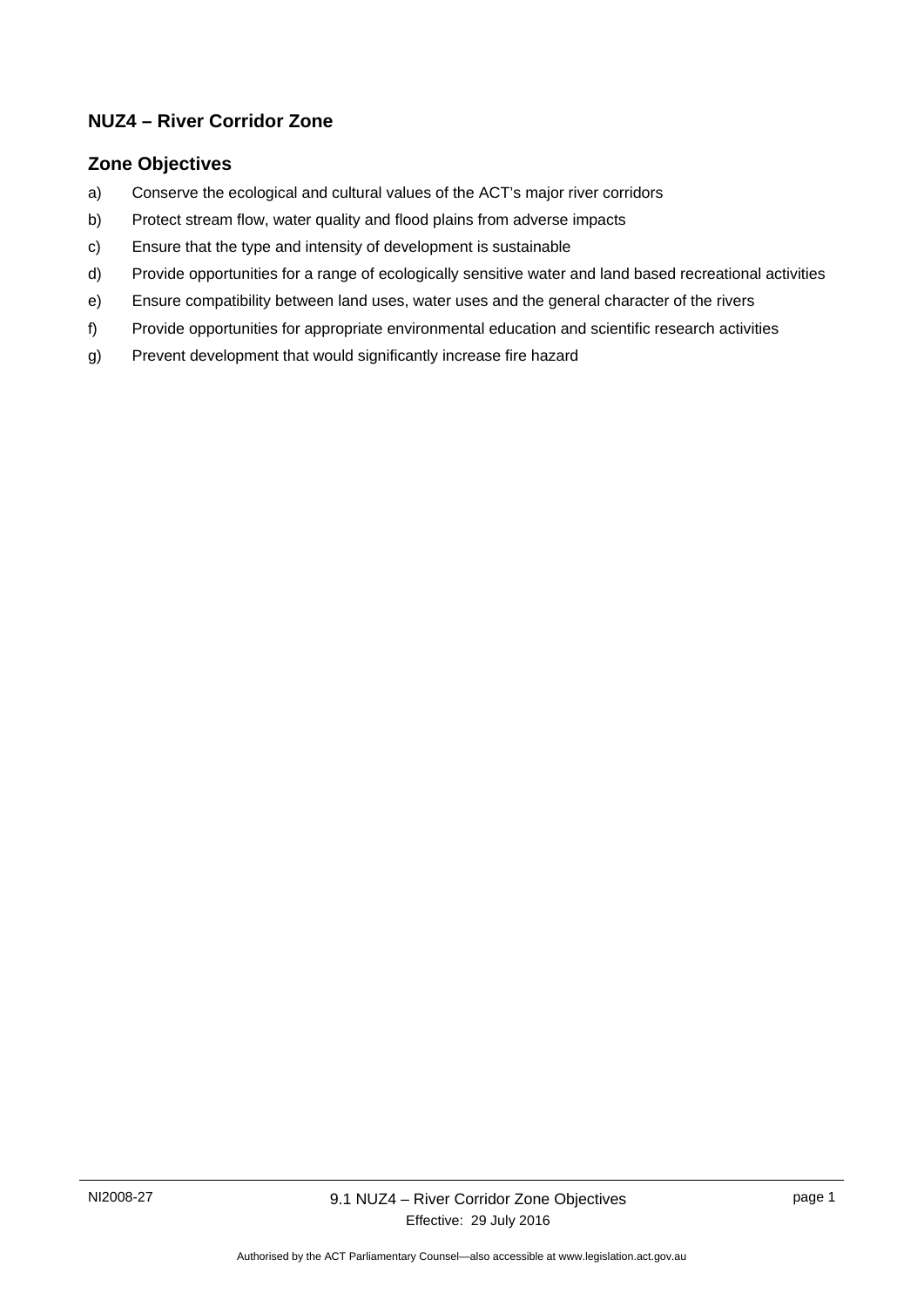## **NUZ4 – River Corridor Zone**

### **Zone Objectives**

- a) Conserve the ecological and cultural values of the ACT's major river corridors
- b) Protect stream flow, water quality and flood plains from adverse impacts
- c) Ensure that the type and intensity of development is sustainable
- d) Provide opportunities for a range of ecologically sensitive water and land based recreational activities
- e) Ensure compatibility between land uses, water uses and the general character of the rivers
- f) Provide opportunities for appropriate environmental education and scientific research activities
- g) Prevent development that would significantly increase fire hazard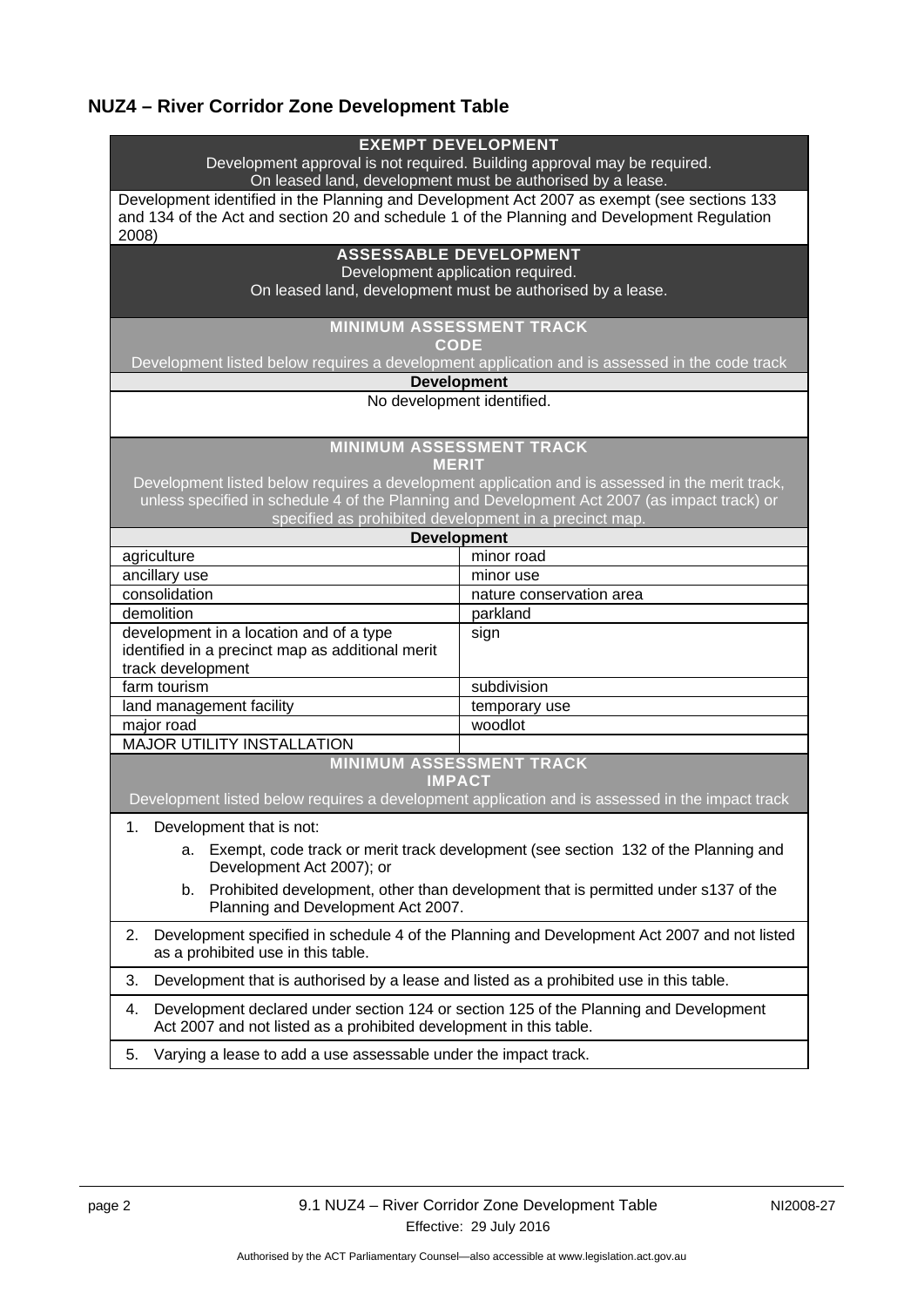# **NUZ4 – River Corridor Zone Development Table**

| <b>EXEMPT DEVELOPMENT</b><br>Development approval is not required. Building approval may be required.<br>On leased land, development must be authorised by a lease.                                 |                                                                                                 |  |
|-----------------------------------------------------------------------------------------------------------------------------------------------------------------------------------------------------|-------------------------------------------------------------------------------------------------|--|
| Development identified in the Planning and Development Act 2007 as exempt (see sections 133<br>and 134 of the Act and section 20 and schedule 1 of the Planning and Development Regulation<br>2008) |                                                                                                 |  |
| <b>ASSESSABLE DEVELOPMENT</b><br>Development application required.<br>On leased land, development must be authorised by a lease.                                                                    |                                                                                                 |  |
| <b>MINIMUM ASSESSMENT TRACK</b><br><b>CODE</b>                                                                                                                                                      |                                                                                                 |  |
| Development listed below requires a development application and is assessed in the code track                                                                                                       |                                                                                                 |  |
| <b>Development</b>                                                                                                                                                                                  |                                                                                                 |  |
| No development identified.                                                                                                                                                                          |                                                                                                 |  |
| <b>MINIMUM ASSESSMENT TRACK</b><br><b>MERIT</b>                                                                                                                                                     |                                                                                                 |  |
|                                                                                                                                                                                                     | Development listed below requires a development application and is assessed in the merit track, |  |
| unless specified in schedule 4 of the Planning and Development Act 2007 (as impact track) or                                                                                                        |                                                                                                 |  |
| specified as prohibited development in a precinct map.<br><b>Development</b>                                                                                                                        |                                                                                                 |  |
|                                                                                                                                                                                                     |                                                                                                 |  |
| agriculture                                                                                                                                                                                         | minor road                                                                                      |  |
| ancillary use<br>consolidation                                                                                                                                                                      | minor use                                                                                       |  |
| demolition                                                                                                                                                                                          | nature conservation area                                                                        |  |
| development in a location and of a type                                                                                                                                                             | parkland                                                                                        |  |
| identified in a precinct map as additional merit                                                                                                                                                    | sign                                                                                            |  |
| track development                                                                                                                                                                                   |                                                                                                 |  |
| farm tourism                                                                                                                                                                                        | subdivision                                                                                     |  |
| land management facility                                                                                                                                                                            | temporary use                                                                                   |  |
| major road                                                                                                                                                                                          | woodlot                                                                                         |  |
| <b>MAJOR UTILITY INSTALLATION</b>                                                                                                                                                                   |                                                                                                 |  |
|                                                                                                                                                                                                     | <b>MINIMUM ASSESSMENT TRACK</b><br><b>IMPACT</b>                                                |  |
|                                                                                                                                                                                                     | Development listed below requires a development application and is assessed in the impact track |  |
| 1. Development that is not:                                                                                                                                                                         |                                                                                                 |  |
| Exempt, code track or merit track development (see section 132 of the Planning and<br>a.<br>Development Act 2007); or                                                                               |                                                                                                 |  |
| Prohibited development, other than development that is permitted under s137 of the<br>b.<br>Planning and Development Act 2007.                                                                      |                                                                                                 |  |
| Development specified in schedule 4 of the Planning and Development Act 2007 and not listed<br>2.<br>as a prohibited use in this table.                                                             |                                                                                                 |  |
| 3.                                                                                                                                                                                                  | Development that is authorised by a lease and listed as a prohibited use in this table.         |  |
| Development declared under section 124 or section 125 of the Planning and Development<br>4.<br>Act 2007 and not listed as a prohibited development in this table.                                   |                                                                                                 |  |
| Varying a lease to add a use assessable under the impact track.<br>5.                                                                                                                               |                                                                                                 |  |
|                                                                                                                                                                                                     |                                                                                                 |  |